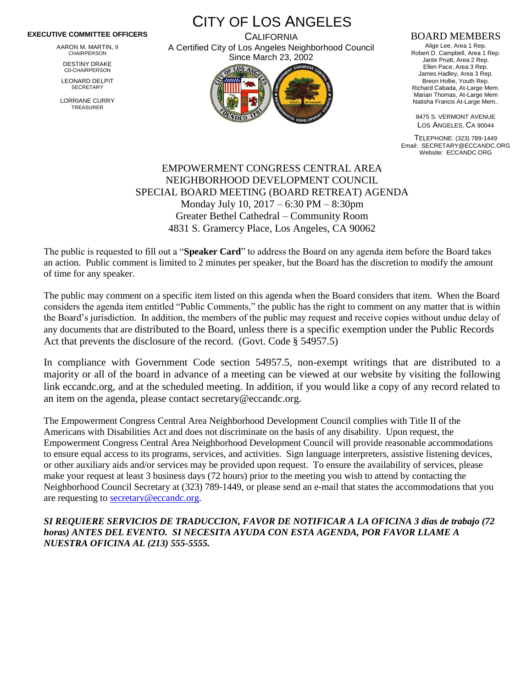## **EXECUTIVE COMMITTEE OFFICERS**

AARON M. MARTIN, II CHAIRPERSON

DESTINY DRAKE C0-CHAIRPERSON

LEONARD DELPIT **SECRETARY** 

LORRIANE CURRY TREASURER

CITY OF LOS ANGELES **CALIFORNIA** 

A Certified City of Los Angeles Neighborhood Council Since March 23, 2002



## BOARD MEMBERS

Alige Lee, Area 1 Rep. Robert D. Campbell, Area 1 Rep. Jante Pruitt, Area 2 Rep. Ellen Pace, Area 3 Rep. James Hadley, Area 3 Rep. Breon Hollie, Youth Rep. Richard Cabada, At-Large Mem. Marian Thomas, At-Large Mem Natisha Francis At-Large Mem..

8475 S. VERMONT AVENUE LOS ANGELES, CA 90044

TELEPHONE: (323) 789-1449 Email: SECRETARY@ECCANDC.ORG Website: ECCANDC.ORG

## EMPOWERMENT CONGRESS CENTRAL AREA NEIGHBORHOOD DEVELOPMENT COUNCIL SPECIAL BOARD MEETING (BOARD RETREAT) AGENDA Monday July 10, 2017 – 6:30 PM – 8:30pm Greater Bethel Cathedral – Community Room 4831 S. Gramercy Place, Los Angeles, CA 90062

The public is requested to fill out a "**Speaker Card**" to address the Board on any agenda item before the Board takes an action. Public comment is limited to 2 minutes per speaker, but the Board has the discretion to modify the amount of time for any speaker.

The public may comment on a specific item listed on this agenda when the Board considers that item. When the Board considers the agenda item entitled "Public Comments," the public has the right to comment on any matter that is within the Board's jurisdiction. In addition, the members of the public may request and receive copies without undue delay of any documents that are distributed to the Board, unless there is a specific exemption under the Public Records Act that prevents the disclosure of the record. (Govt. Code § 54957.5)

In compliance with Government Code section 54957.5, non-exempt writings that are distributed to a majority or all of the board in advance of a meeting can be viewed at our website by visiting the following link eccandc.org, and at the scheduled meeting. In addition, if you would like a copy of any record related to an item on the agenda, please contact secretary@eccandc.org.

The Empowerment Congress Central Area Neighborhood Development Council complies with Title II of the Americans with Disabilities Act and does not discriminate on the basis of any disability. Upon request, the Empowerment Congress Central Area Neighborhood Development Council will provide reasonable accommodations to ensure equal access to its programs, services, and activities. Sign language interpreters, assistive listening devices, or other auxiliary aids and/or services may be provided upon request. To ensure the availability of services, please make your request at least 3 business days (72 hours) prior to the meeting you wish to attend by contacting the Neighborhood Council Secretary at (323) 789-1449, or please send an e-mail that states the accommodations that you are requesting to [secretary@eccandc.org.](mailto:secretary@eccandc.org)

*SI REQUIERE SERVICIOS DE TRADUCCION, FAVOR DE NOTIFICAR A LA OFICINA 3 dias de trabajo (72 horas) ANTES DEL EVENTO. SI NECESITA AYUDA CON ESTA AGENDA, POR FAVOR LLAME A NUESTRA OFICINA AL (213) 555-5555.*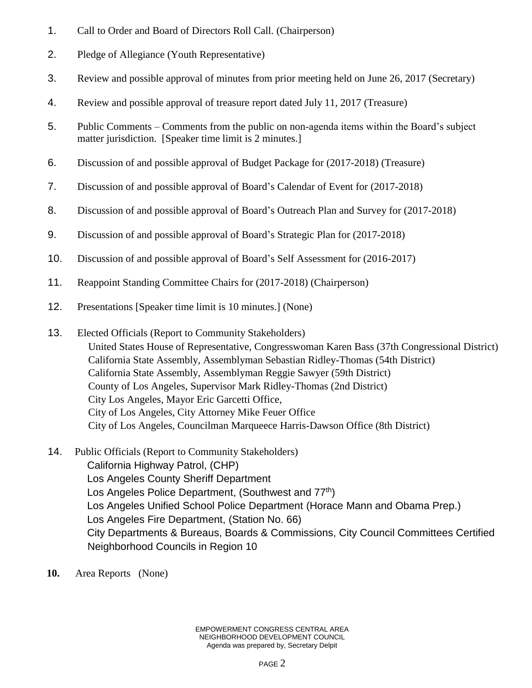- 1. Call to Order and Board of Directors Roll Call. (Chairperson)
- 2. Pledge of Allegiance (Youth Representative)
- 3. Review and possible approval of minutes from prior meeting held on June 26, 2017 (Secretary)
- 4. Review and possible approval of treasure report dated July 11, 2017 (Treasure)
- 5. Public Comments Comments from the public on non-agenda items within the Board's subject matter jurisdiction. [Speaker time limit is 2 minutes.]
- 6. Discussion of and possible approval of Budget Package for (2017-2018) (Treasure)
- 7. Discussion of and possible approval of Board's Calendar of Event for (2017-2018)
- 8. Discussion of and possible approval of Board's Outreach Plan and Survey for (2017-2018)
- 9. Discussion of and possible approval of Board's Strategic Plan for (2017-2018)
- 10. Discussion of and possible approval of Board's Self Assessment for (2016-2017)
- 11. Reappoint Standing Committee Chairs for (2017-2018) (Chairperson)
- 12. Presentations [Speaker time limit is 10 minutes.] (None)
- 13. Elected Officials (Report to Community Stakeholders) United States House of Representative, Congresswoman Karen Bass (37th Congressional District) California State Assembly, Assemblyman Sebastian Ridley-Thomas (54th District) California State Assembly, Assemblyman Reggie Sawyer (59th District) County of Los Angeles, Supervisor Mark Ridley-Thomas (2nd District) City Los Angeles, Mayor Eric Garcetti Office, City of Los Angeles, City Attorney Mike Feuer Office City of Los Angeles, Councilman Marqueece Harris-Dawson Office (8th District)
- 14. Public Officials (Report to Community Stakeholders) California Highway Patrol, (CHP) Los Angeles County Sheriff Department Los Angeles Police Department, (Southwest and 77<sup>th</sup>) Los Angeles Unified School Police Department (Horace Mann and Obama Prep.) Los Angeles Fire Department, (Station No. 66) City Departments & Bureaus, Boards & Commissions, City Council Committees Certified Neighborhood Councils in Region 10
- **10.** Area Reports (None)